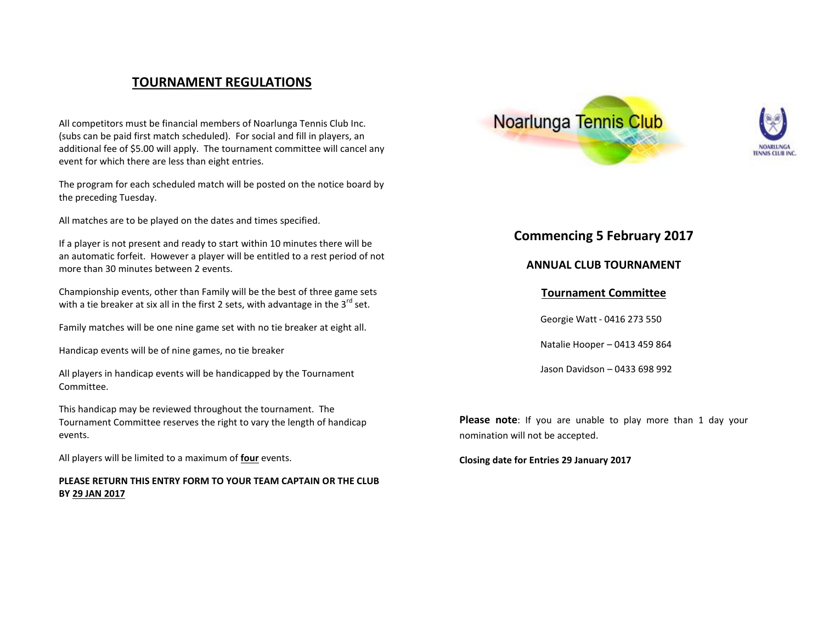## **TOURNAMENT REGULATIONS**

All competitors must be financial members of Noarlunga Tennis Club Inc. (subs can be paid first match scheduled). For social and fill in players, an additional fee of \$5.00 will apply. The tournament committee will cancel any event for which there are less than eight entries.

The program for each scheduled match will be posted on the notice board by the preceding Tuesday.

All matches are to be played on the dates and times specified.

If a player is not present and ready to start within 10 minutes there will be an automatic forfeit. However a player will be entitled to a rest period of not more than 30 minutes between 2 events.

Championship events, other than Family will be the best of three game sets with a tie breaker at six all in the first 2 sets, with advantage in the  $3^{rd}$  set.

Family matches will be one nine game set with no tie breaker at eight all.

Handicap events will be of nine games, no tie breaker

All players in handicap events will be handicapped by the Tournament Committee.

This handicap may be reviewed throughout the tournament. The Tournament Committee reserves the right to vary the length of handicap events.

All players will be limited to a maximum of **four** events.

## **PLEASE RETURN THIS ENTRY FORM TO YOUR TEAM CAPTAIN OR THE CLUB BY 29 JAN 2017**





## **Commencing 5 February 2017**

**ANNUAL CLUB TOURNAMENT**

## **Tournament Committee**

Georgie Watt - 0416 273 550

Natalie Hooper – 0413 459 864

Jason Davidson – 0433 698 992

**Please note**: If you are unable to play more than 1 day your nomination will not be accepted.

**Closing date for Entries 29 January 2017**